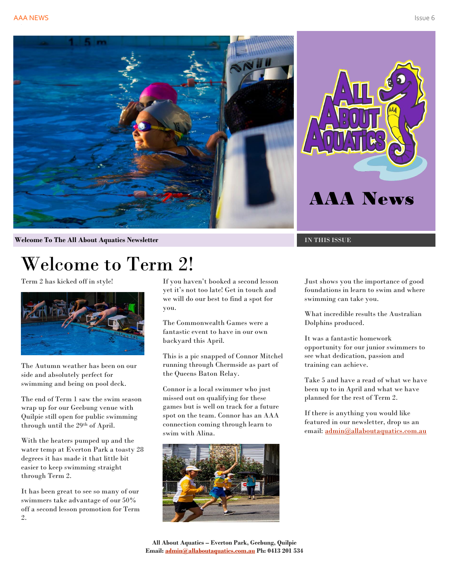





**Welcome To The All About Aquatics Newsletter Intervalse of the IN THIS ISSUE** 

# Welcome to Term 2!

Term 2 has kicked off in style!



The Autumn weather has been on our side and absolutely perfect for swimming and being on pool deck.

The end of Term 1 saw the swim season wrap up for our Geebung venue with Quilpie still open for public swimming through until the 29th of April.

With the heaters pumped up and the water temp at Everton Park a toasty 28 degrees it has made it that little bit easier to keep swimming straight through Term 2.

It has been great to see so many of our swimmers take advantage of our 50% off a second lesson promotion for Term 2.

If you haven't booked a second lesson yet it's not too late! Get in touch and we will do our best to find a spot for you.

The Commonwealth Games were a fantastic event to have in our own backyard this April.

This is a pic snapped of Connor Mitchel running through Chermside as part of the Queens Baton Relay.

Connor is a local swimmer who just missed out on qualifying for these games but is well on track for a future spot on the team. Connor has an AAA connection coming through learn to swim with Alina.



Just shows you the importance of good foundations in learn to swim and where swimming can take you.

What incredible results the Australian Dolphins produced.

It was a fantastic homework opportunity for our junior swimmers to see what dedication, passion and training can achieve.

Take 5 and have a read of what we have been up to in April and what we have planned for the rest of Term 2.

If there is anything you would like featured in our newsletter, drop us an email: [admin@allaboutaquatics.com.au](mailto:admin@allaboutaquatics.com.au)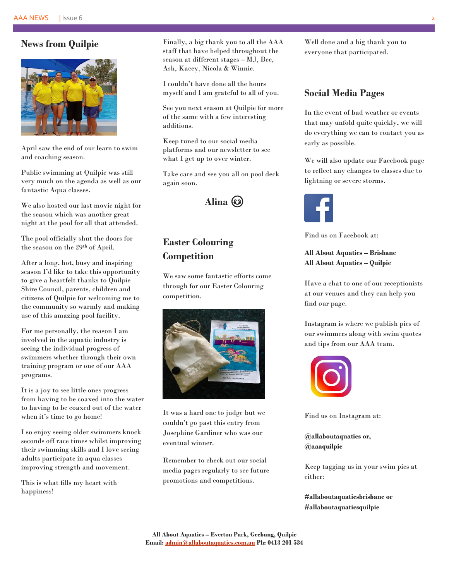#### **News from Quilpie**



April saw the end of our learn to swim and coaching season.

Public swimming at Quilpie was still very much on the agenda as well as our fantastic Aqua classes.

We also hosted our last movie night for the season which was another great night at the pool for all that attended.

The pool officially shut the doors for the season on the 29th of April.

After a long, hot, busy and inspiring season I'd like to take this opportunity to give a heartfelt thanks to Quilpie Shire Council, parents, children and citizens of Quilpie for welcoming me to the community so warmly and making use of this amazing pool facility.

For me personally, the reason I am involved in the aquatic industry is seeing the individual progress of swimmers whether through their own training program or one of our AAA programs.

It is a joy to see little ones progress from having to be coaxed into the water to having to be coaxed out of the water when it's time to go home!

I so enjoy seeing older swimmers knock seconds off race times whilst improving their swimming skills and I love seeing adults participate in aqua classes improving strength and movement.

This is what fills my heart with happiness!

Finally, a big thank you to all the AAA staff that have helped throughout the season at different stages – MJ, Bec, Ash, Kacey, Nicola & Winnie.

I couldn't have done all the hours myself and I am grateful to all of you.

See you next season at Quilpie for more of the same with a few interesting additions.

Keep tuned to our social media platforms and our newsletter to see what I get up to over winter.

Take care and see you all on pool deck again soon.



## **Easter Colouring Competition**

We saw some fantastic efforts come through for our Easter Colouring competition.



It was a hard one to judge but we couldn't go past this entry from Josephine Gardiner who was our eventual winner.

Remember to check out our social media pages regularly to see future promotions and competitions.

Well done and a big thank you to everyone that participated.

#### **Social Media Pages**

In the event of bad weather or events that may unfold quite quickly, we will do everything we can to contact you as early as possible.

We will also update our Facebook page to reflect any changes to classes due to lightning or severe storms.



Find us on Facebook at:

#### **All About Aquatics – Brisbane All About Aquatics – Quilpie**

Have a chat to one of our receptionists at our venues and they can help you find our page.

Instagram is where we publish pics of our swimmers along with swim quotes and tips from our AAA team.



Find us on Instagram at:

**@allaboutaquatics or, @aaaquilpie**

Keep tagging us in your swim pics at either:

**#allaboutaquaticsbrisbane or #allaboutaquaticsquilpie**